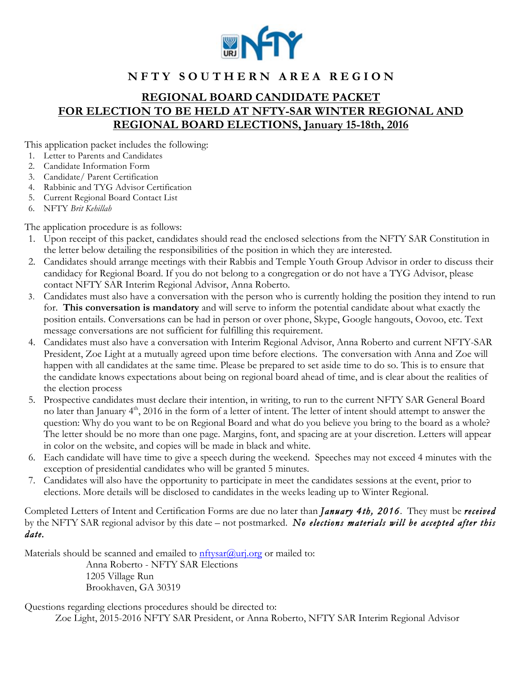

## **REGIONAL BOARD CANDIDATE PACKET FOR ELECTION TO BE HELD AT NFTY-SAR WINTER REGIONAL AND REGIONAL BOARD ELECTIONS, January 15-18th, 2016**

This application packet includes the following:

- 1. Letter to Parents and Candidates
- 2. Candidate Information Form
- 3. Candidate/ Parent Certification
- 4. Rabbinic and TYG Advisor Certification
- 5. Current Regional Board Contact List
- 6. NFTY *Brit Kehillah*

The application procedure is as follows:

- 1. Upon receipt of this packet, candidates should read the enclosed selections from the NFTY SAR Constitution in the letter below detailing the responsibilities of the position in which they are interested.
- 2. Candidates should arrange meetings with their Rabbis and Temple Youth Group Advisor in order to discuss their candidacy for Regional Board. If you do not belong to a congregation or do not have a TYG Advisor, please contact NFTY SAR Interim Regional Advisor, Anna Roberto.
- 3. Candidates must also have a conversation with the person who is currently holding the position they intend to run for. **This conversation is mandatory** and will serve to inform the potential candidate about what exactly the position entails. Conversations can be had in person or over phone, Skype, Google hangouts, Oovoo, etc. Text message conversations are not sufficient for fulfilling this requirement.
- 4. Candidates must also have a conversation with Interim Regional Advisor, Anna Roberto and current NFTY-SAR President, Zoe Light at a mutually agreed upon time before elections. The conversation with Anna and Zoe will happen with all candidates at the same time. Please be prepared to set aside time to do so. This is to ensure that the candidate knows expectations about being on regional board ahead of time, and is clear about the realities of the election process
- 5. Prospective candidates must declare their intention, in writing, to run to the current NFTY SAR General Board no later than January  $4<sup>th</sup>$ , 2016 in the form of a letter of intent. The letter of intent should attempt to answer the question: Why do you want to be on Regional Board and what do you believe you bring to the board as a whole? The letter should be no more than one page. Margins, font, and spacing are at your discretion. Letters will appear in color on the website, and copies will be made in black and white.
- 6. Each candidate will have time to give a speech during the weekend. Speeches may not exceed 4 minutes with the exception of presidential candidates who will be granted 5 minutes.
- 7. Candidates will also have the opportunity to participate in meet the candidates sessions at the event, prior to elections. More details will be disclosed to candidates in the weeks leading up to Winter Regional.

Completed Letters of Intent and Certification Forms are due no later than *January 4th, 2016*. They must be *received* by the NFTY SAR regional advisor by this date – not postmarked. *No elections materials will be accepted after this date.* 

Materials should be scanned and emailed to nftysar@urj.org or mailed to:

Anna Roberto - NFTY SAR Elections 1205 Village Run Brookhaven, GA 30319

Questions regarding elections procedures should be directed to:

Zoe Light, 2015-2016 NFTY SAR President, or Anna Roberto, NFTY SAR Interim Regional Advisor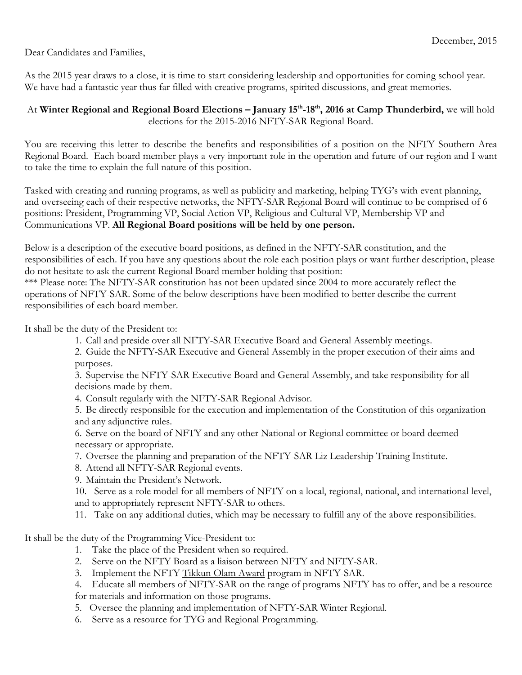Dear Candidates and Families,

As the 2015 year draws to a close, it is time to start considering leadership and opportunities for coming school year. We have had a fantastic year thus far filled with creative programs, spirited discussions, and great memories.

## At **Winter Regional and Regional Board Elections – January 15th-18th, 2016 at Camp Thunderbird,** we will hold elections for the 2015-2016 NFTY-SAR Regional Board.

You are receiving this letter to describe the benefits and responsibilities of a position on the NFTY Southern Area Regional Board. Each board member plays a very important role in the operation and future of our region and I want to take the time to explain the full nature of this position.

Tasked with creating and running programs, as well as publicity and marketing, helping TYG's with event planning, and overseeing each of their respective networks, the NFTY-SAR Regional Board will continue to be comprised of 6 positions: President, Programming VP, Social Action VP, Religious and Cultural VP, Membership VP and Communications VP. **All Regional Board positions will be held by one person.**

Below is a description of the executive board positions, as defined in the NFTY-SAR constitution, and the responsibilities of each. If you have any questions about the role each position plays or want further description, please do not hesitate to ask the current Regional Board member holding that position:

\*\*\* Please note: The NFTY-SAR constitution has not been updated since 2004 to more accurately reflect the operations of NFTY-SAR. Some of the below descriptions have been modified to better describe the current responsibilities of each board member.

It shall be the duty of the President to:

- 1. Call and preside over all NFTY-SAR Executive Board and General Assembly meetings.
- 2. Guide the NFTY-SAR Executive and General Assembly in the proper execution of their aims and purposes.

3. Supervise the NFTY-SAR Executive Board and General Assembly, and take responsibility for all decisions made by them.

- 4. Consult regularly with the NFTY-SAR Regional Advisor.
- 5. Be directly responsible for the execution and implementation of the Constitution of this organization and any adjunctive rules.
- 6. Serve on the board of NFTY and any other National or Regional committee or board deemed necessary or appropriate.
- 7. Oversee the planning and preparation of the NFTY-SAR Liz Leadership Training Institute.
- 8. Attend all NFTY-SAR Regional events.
- 9. Maintain the President's Network.
- 10. Serve as a role model for all members of NFTY on a local, regional, national, and international level, and to appropriately represent NFTY-SAR to others.
- 11. Take on any additional duties, which may be necessary to fulfill any of the above responsibilities.

It shall be the duty of the Programming Vice-President to:

- 1. Take the place of the President when so required.
- 2. Serve on the NFTY Board as a liaison between NFTY and NFTY-SAR.
- 3. Implement the NFTY Tikkun Olam Award program in NFTY-SAR.
- 4. Educate all members of NFTY-SAR on the range of programs NFTY has to offer, and be a resource for materials and information on those programs.
- 5. Oversee the planning and implementation of NFTY-SAR Winter Regional.
- 6. Serve as a resource for TYG and Regional Programming.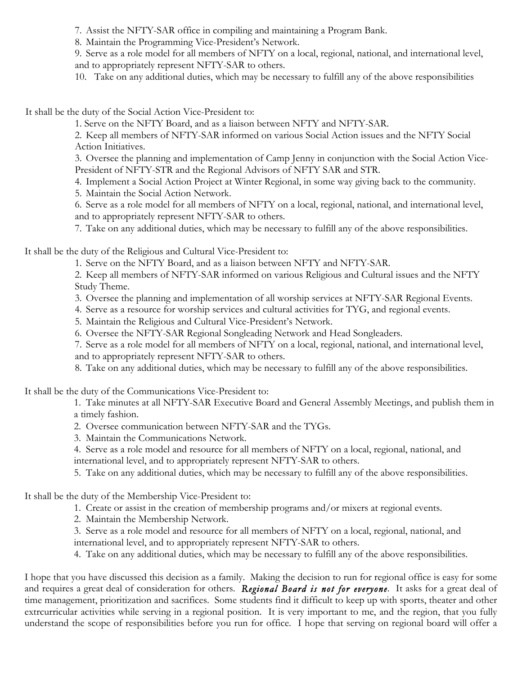7. Assist the NFTY-SAR office in compiling and maintaining a Program Bank.

8. Maintain the Programming Vice-President's Network.

9. Serve as a role model for all members of NFTY on a local, regional, national, and international level, and to appropriately represent NFTY-SAR to others.

10. Take on any additional duties, which may be necessary to fulfill any of the above responsibilities

It shall be the duty of the Social Action Vice-President to:

1. Serve on the NFTY Board, and as a liaison between NFTY and NFTY-SAR.

2. Keep all members of NFTY-SAR informed on various Social Action issues and the NFTY Social Action Initiatives.

3. Oversee the planning and implementation of Camp Jenny in conjunction with the Social Action Vice-President of NFTY-STR and the Regional Advisors of NFTY SAR and STR.

4. Implement a Social Action Project at Winter Regional, in some way giving back to the community.

5. Maintain the Social Action Network.

6. Serve as a role model for all members of NFTY on a local, regional, national, and international level, and to appropriately represent NFTY-SAR to others.

7. Take on any additional duties, which may be necessary to fulfill any of the above responsibilities.

It shall be the duty of the Religious and Cultural Vice-President to:

1. Serve on the NFTY Board, and as a liaison between NFTY and NFTY-SAR.

2. Keep all members of NFTY-SAR informed on various Religious and Cultural issues and the NFTY Study Theme.

- 3. Oversee the planning and implementation of all worship services at NFTY-SAR Regional Events.
- 4. Serve as a resource for worship services and cultural activities for TYG, and regional events.
- 5. Maintain the Religious and Cultural Vice-President's Network.
- 6. Oversee the NFTY-SAR Regional Songleading Network and Head Songleaders.

7. Serve as a role model for all members of NFTY on a local, regional, national, and international level, and to appropriately represent NFTY-SAR to others.

8. Take on any additional duties, which may be necessary to fulfill any of the above responsibilities.

It shall be the duty of the Communications Vice-President to:

1. Take minutes at all NFTY-SAR Executive Board and General Assembly Meetings, and publish them in a timely fashion.

- 2. Oversee communication between NFTY-SAR and the TYGs.
- 3. Maintain the Communications Network.

4. Serve as a role model and resource for all members of NFTY on a local, regional, national, and international level, and to appropriately represent NFTY-SAR to others.

5. Take on any additional duties, which may be necessary to fulfill any of the above responsibilities.

It shall be the duty of the Membership Vice-President to:

- 1. Create or assist in the creation of membership programs and/or mixers at regional events.
- 2. Maintain the Membership Network.

3. Serve as a role model and resource for all members of NFTY on a local, regional, national, and international level, and to appropriately represent NFTY-SAR to others.

4. Take on any additional duties, which may be necessary to fulfill any of the above responsibilities.

I hope that you have discussed this decision as a family. Making the decision to run for regional office is easy for some and requires a great deal of consideration for others. *Regional Board is not for everyone.* It asks for a great deal of time management, prioritization and sacrifices. Some students find it difficult to keep up with sports, theater and other extrcurricular activities while serving in a regional position. It is very important to me, and the region, that you fully understand the scope of responsibilities before you run for office. I hope that serving on regional board will offer a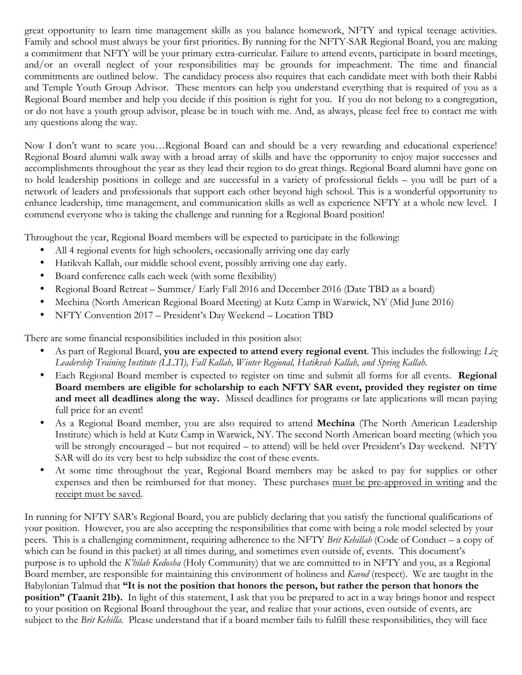great opportunity to learn time management skills as you balance homework, NFTY and typical teenage activities. Family and school must always be your first priorities. By running for the NFTY-SAR Regional Board, you are making a commitment that NFTY will be your primary extra-curricular. Failure to attend events, participate in board meetings, and/or an overall neglect of your responsibilities may be grounds for impeachment. The time and financial commitments are outlined below. The candidacy process also requires that each candidate meet with both their Rabbi and Temple Youth Group Advisor. These mentors can help you understand everything that is required of you as a Regional Board member and help you decide if this position is right for you. If you do not belong to a congregation, or do not have a youth group advisor, please be in touch with me. And, as always, please feel free to contact me with any questions along the way.

Now I don't want to scare you…Regional Board can and should be a very rewarding and educational experience! Regional Board alumni walk away with a broad array of skills and have the opportunity to enjoy major successes and accomplishments throughout the year as they lead their region to do great things. Regional Board alumni have gone on to hold leadership positions in college and are successful in a variety of professional fields – you will be part of a network of leaders and professionals that support each other beyond high school. This is a wonderful opportunity to enhance leadership, time management, and communication skills as well as experience NFTY at a whole new level. I commend everyone who is taking the challenge and running for a Regional Board position!

Throughout the year, Regional Board members will be expected to participate in the following:

- All 4 regional events for high schoolers, occasionally arriving one day early
- Hatikvah Kallah, our middle school event, possibly arriving one day early.
- Board conference calls each week (with some flexibility)
- Regional Board Retreat Summer/ Early Fall 2016 and December 2016 (Date TBD as a board)
- Mechina (North American Regional Board Meeting) at Kutz Camp in Warwick, NY (Mid June 2016)
- NFTY Convention 2017 President's Day Weekend Location TBD

There are some financial responsibilities included in this position also:

- As part of Regional Board, **you are expected to attend every regional event**. This includes the following: *Liz Leadership Training Institute (LLTI), Fall Kallah, Winter Regional, Hatikvah Kallah, and Spring Kallah.*
- Each Regional Board member is expected to register on time and submit all forms for all events. **Regional Board members are eligible for scholarship to each NFTY SAR event, provided they register on time and meet all deadlines along the way.** Missed deadlines for programs or late applications will mean paying full price for an event!
- As a Regional Board member, you are also required to attend **Mechina** (The North American Leadership Institute) which is held at Kutz Camp in Warwick, NY. The second North American board meeting (which you will be strongly encouraged – but not required – to attend) will be held over President's Day weekend. NFTY SAR will do its very best to help subsidize the cost of these events.
- At some time throughout the year, Regional Board members may be asked to pay for supplies or other expenses and then be reimbursed for that money. These purchases must be pre-approved in writing and the receipt must be saved.

In running for NFTY SAR's Regional Board, you are publicly declaring that you satisfy the functional qualifications of your position. However, you are also accepting the responsibilities that come with being a role model selected by your peers. This is a challenging commitment, requiring adherence to the NFTY *Brit Kehillah* (Code of Conduct – a copy of which can be found in this packet) at all times during, and sometimes even outside of, events. This document's purpose is to uphold the *K'hilah Kedosha* (Holy Community) that we are committed to in NFTY and you, as a Regional Board member, are responsible for maintaining this environment of holiness and *Kavod* (respect). We are taught in the Babylonian Talmud that **"It is not the position that honors the person, but rather the person that honors the position" (Taanit 21b).** In light of this statement, I ask that you be prepared to act in a way brings honor and respect to your position on Regional Board throughout the year, and realize that your actions, even outside of events, are subject to the *Brit Kehilla*. Please understand that if a board member fails to fulfill these responsibilities, they will face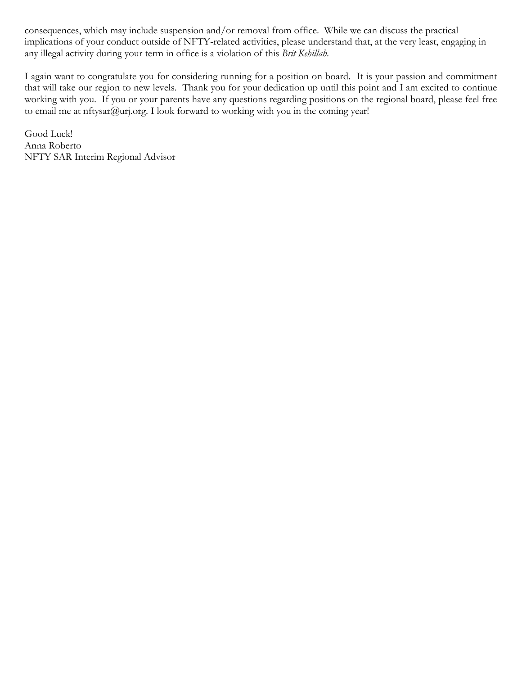consequences, which may include suspension and/or removal from office. While we can discuss the practical implications of your conduct outside of NFTY-related activities, please understand that, at the very least, engaging in any illegal activity during your term in office is a violation of this *Brit Kehillah*.

I again want to congratulate you for considering running for a position on board. It is your passion and commitment that will take our region to new levels. Thank you for your dedication up until this point and I am excited to continue working with you. If you or your parents have any questions regarding positions on the regional board, please feel free to email me at nftysar@urj.org. I look forward to working with you in the coming year!

Good Luck! Anna Roberto NFTY SAR Interim Regional Advisor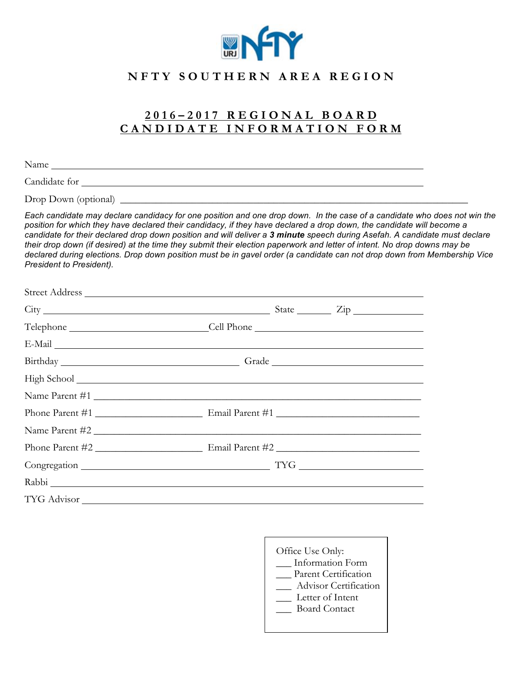

## **2 0 1 6 – 2 0 1 7 R E G I O N A L B O A R D C A N D I D A T E I N F O R M A T I O N F O R M**

Name

Candidate for

Drop Down (optional) \_\_\_\_\_\_\_\_\_\_\_\_\_\_\_\_\_\_\_\_\_\_\_\_\_\_\_\_\_\_\_\_\_\_\_\_\_\_\_\_\_\_\_\_\_\_\_\_\_\_\_\_\_\_\_\_\_\_\_\_\_\_\_\_\_\_\_\_

*Each candidate may declare candidacy for one position and one drop down. In the case of a candidate who does not win the*  position for which they have declared their candidacy, if they have declared a drop down, the candidate will become a *candidate for their declared drop down position and will deliver a 3 minute speech during Asefah. A candidate must declare their drop down (if desired) at the time they submit their election paperwork and letter of intent. No drop downs may be declared during elections. Drop down position must be in gavel order (a candidate can not drop down from Membership Vice President to President).* 

| Telephone ________________________________Cell Phone ____________________________ |
|-----------------------------------------------------------------------------------|
|                                                                                   |
|                                                                                   |
|                                                                                   |
| Name Parent #1                                                                    |
|                                                                                   |
| Name Parent #2                                                                    |
|                                                                                   |
|                                                                                   |
|                                                                                   |
|                                                                                   |

Office Use Only: \_\_\_ Information Form \_\_ Parent Certification \_\_\_ Advisor Certification \_\_\_ Letter of Intent \_\_\_ Board Contact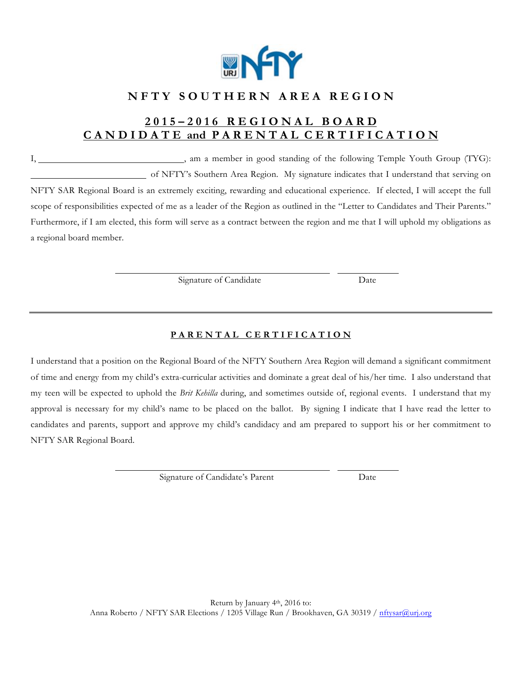

## **2 0 1 5 – 2 0 1 6 R E G I O N A L B O A R D C A N D I D A T E and P A R E N T A L C E R T I F I C A T I O N**

I, 1. 1. Am a member in good standing of the following Temple Youth Group (TYG): of NFTY's Southern Area Region. My signature indicates that I understand that serving on NFTY SAR Regional Board is an extremely exciting, rewarding and educational experience. If elected, I will accept the full scope of responsibilities expected of me as a leader of the Region as outlined in the "Letter to Candidates and Their Parents." Furthermore, if I am elected, this form will serve as a contract between the region and me that I will uphold my obligations as a regional board member.

Signature of Candidate Date

### **P A R E N T A L C E R T I F I C A T I O N**

I understand that a position on the Regional Board of the NFTY Southern Area Region will demand a significant commitment of time and energy from my child's extra-curricular activities and dominate a great deal of his/her time. I also understand that my teen will be expected to uphold the *Brit Kehilla* during, and sometimes outside of, regional events. I understand that my approval is necessary for my child's name to be placed on the ballot. By signing I indicate that I have read the letter to candidates and parents, support and approve my child's candidacy and am prepared to support his or her commitment to NFTY SAR Regional Board.

Signature of Candidate's Parent Date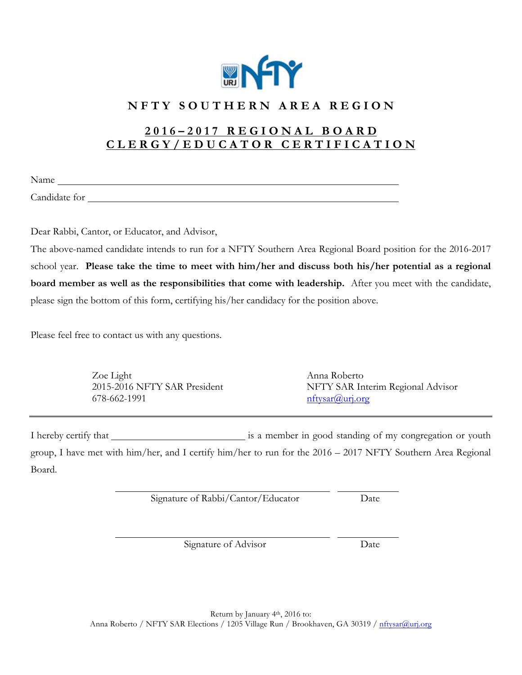

## **2 0 1 6 – 2 0 1 7 R E G I O N A L B O A R D C L E R G Y / E D U C A T O R C E R T I F I C A T I O N**

Name and the contract of the contract of the contract of the contract of the contract of the contract of the contract of the contract of the contract of the contract of the contract of the contract of the contract of the c

Candidate for

Dear Rabbi, Cantor, or Educator, and Advisor,

The above-named candidate intends to run for a NFTY Southern Area Regional Board position for the 2016-2017 school year. **Please take the time to meet with him/her and discuss both his/her potential as a regional board member as well as the responsibilities that come with leadership.** After you meet with the candidate, please sign the bottom of this form, certifying his/her candidacy for the position above.

Please feel free to contact us with any questions.

Zoe Light Anna Roberto  $678-662-1991$  nftysar $@$ urj.org

2015-2016 NFTY SAR President NFTY SAR Interim Regional Advisor

I hereby certify that **is a member in good standing of my congregation or youth** group, I have met with him/her, and I certify him/her to run for the 2016 – 2017 NFTY Southern Area Regional Board.

Signature of Rabbi/Cantor/Educator Date

Signature of Advisor Date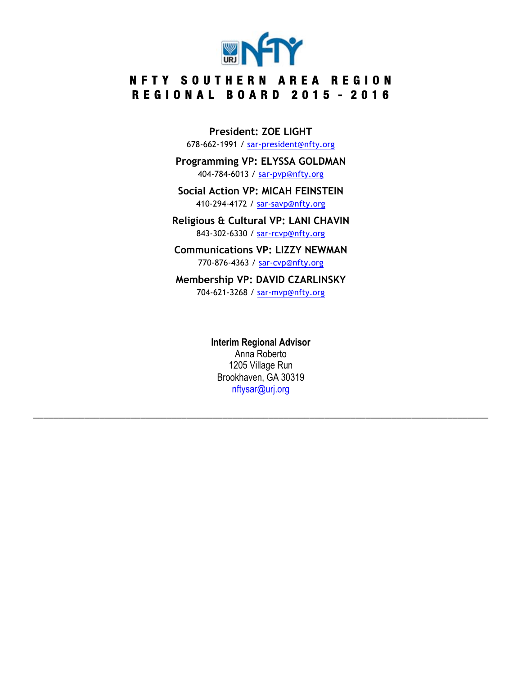

# **N F T Y SOUTHERN AREA REGION R E G I O N A L B O A R D 2 0 1 5 - 2 0 1 6**

**President: ZOE LIGHT** 678-662-1991 / sar-president@nfty.org

**Programming VP: ELYSSA GOLDMAN** 404-784-6013 / sar-pvp@nfty.org

**Social Action VP: MICAH FEINSTEIN** 410-294-4172 / sar-savp@nfty.org

**Religious & Cultural VP: LANI CHAVIN** 843-302-6330 / sar-rcvp@nfty.org

**Communications VP: LIZZY NEWMAN** 770-876-4363 / sar-cvp@nfty.org

**Membership VP: DAVID CZARLINSKY** 704-621-3268 / sar-mvp@nfty.org

> **Interim Regional Advisor** Anna Roberto 1205 Village Run Brookhaven, GA 30319 nftysar@urj.org

**\_\_\_\_\_\_\_\_\_\_\_\_\_\_\_\_\_\_\_\_\_\_\_\_\_\_\_\_\_\_\_\_\_\_\_\_\_\_\_\_\_\_\_\_\_\_\_\_\_\_\_\_\_\_\_\_\_\_\_\_\_\_\_\_\_\_\_\_\_\_\_\_\_\_\_\_\_\_\_\_\_\_\_\_\_\_\_\_\_**